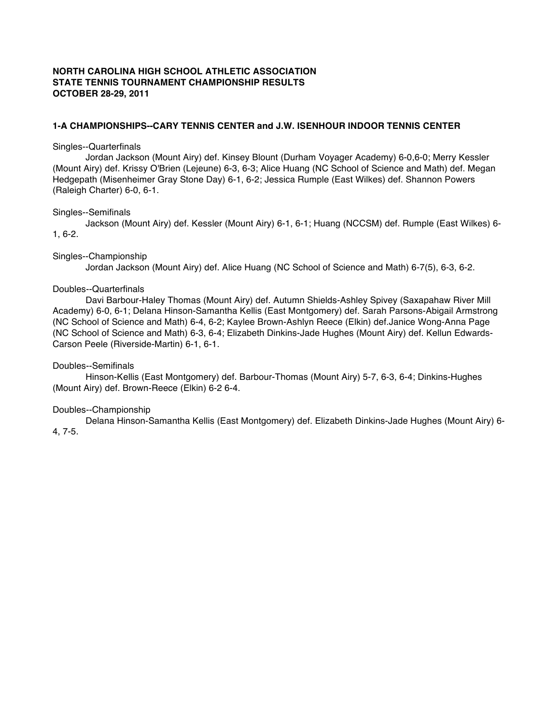# **NORTH CAROLINA HIGH SCHOOL ATHLETIC ASSOCIATION STATE TENNIS TOURNAMENT CHAMPIONSHIP RESULTS OCTOBER 28-29, 2011**

# **1-A CHAMPIONSHIPS--CARY TENNIS CENTER and J.W. ISENHOUR INDOOR TENNIS CENTER**

#### Singles--Quarterfinals

Jordan Jackson (Mount Airy) def. Kinsey Blount (Durham Voyager Academy) 6-0,6-0; Merry Kessler (Mount Airy) def. Krissy O'Brien (Lejeune) 6-3, 6-3; Alice Huang (NC School of Science and Math) def. Megan Hedgepath (Misenheimer Gray Stone Day) 6-1, 6-2; Jessica Rumple (East Wilkes) def. Shannon Powers (Raleigh Charter) 6-0, 6-1.

#### Singles--Semifinals

Jackson (Mount Airy) def. Kessler (Mount Airy) 6-1, 6-1; Huang (NCCSM) def. Rumple (East Wilkes) 6- 1, 6-2.

#### Singles--Championship

Jordan Jackson (Mount Airy) def. Alice Huang (NC School of Science and Math) 6-7(5), 6-3, 6-2.

### Doubles--Quarterfinals

Davi Barbour-Haley Thomas (Mount Airy) def. Autumn Shields-Ashley Spivey (Saxapahaw River Mill Academy) 6-0, 6-1; Delana Hinson-Samantha Kellis (East Montgomery) def. Sarah Parsons-Abigail Armstrong (NC School of Science and Math) 6-4, 6-2; Kaylee Brown-Ashlyn Reece (Elkin) def.Janice Wong-Anna Page (NC School of Science and Math) 6-3, 6-4; Elizabeth Dinkins-Jade Hughes (Mount Airy) def. Kellun Edwards-Carson Peele (Riverside-Martin) 6-1, 6-1.

### Doubles--Semifinals

Hinson-Kellis (East Montgomery) def. Barbour-Thomas (Mount Airy) 5-7, 6-3, 6-4; Dinkins-Hughes (Mount Airy) def. Brown-Reece (Elkin) 6-2 6-4.

### Doubles--Championship

Delana Hinson-Samantha Kellis (East Montgomery) def. Elizabeth Dinkins-Jade Hughes (Mount Airy) 6- 4, 7-5.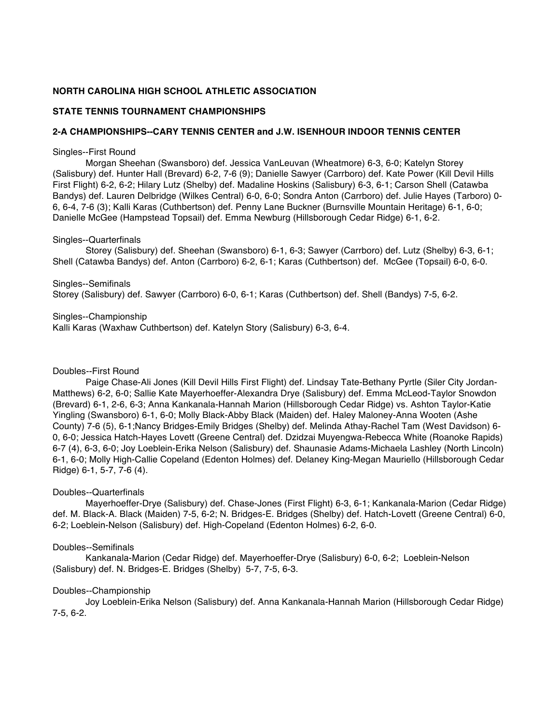# **NORTH CAROLINA HIGH SCHOOL ATHLETIC ASSOCIATION**

# **STATE TENNIS TOURNAMENT CHAMPIONSHIPS**

# **2-A CHAMPIONSHIPS--CARY TENNIS CENTER and J.W. ISENHOUR INDOOR TENNIS CENTER**

### Singles--First Round

Morgan Sheehan (Swansboro) def. Jessica VanLeuvan (Wheatmore) 6-3, 6-0; Katelyn Storey (Salisbury) def. Hunter Hall (Brevard) 6-2, 7-6 (9); Danielle Sawyer (Carrboro) def. Kate Power (Kill Devil Hills First Flight) 6-2, 6-2; Hilary Lutz (Shelby) def. Madaline Hoskins (Salisbury) 6-3, 6-1; Carson Shell (Catawba Bandys) def. Lauren Delbridge (Wilkes Central) 6-0, 6-0; Sondra Anton (Carrboro) def. Julie Hayes (Tarboro) 0- 6, 6-4, 7-6 (3); Kalli Karas (Cuthbertson) def. Penny Lane Buckner (Burnsville Mountain Heritage) 6-1, 6-0; Danielle McGee (Hampstead Topsail) def. Emma Newburg (Hillsborough Cedar Ridge) 6-1, 6-2.

#### Singles--Quarterfinals

Storey (Salisbury) def. Sheehan (Swansboro) 6-1, 6-3; Sawyer (Carrboro) def. Lutz (Shelby) 6-3, 6-1; Shell (Catawba Bandys) def. Anton (Carrboro) 6-2, 6-1; Karas (Cuthbertson) def. McGee (Topsail) 6-0, 6-0.

Singles--Semifinals Storey (Salisbury) def. Sawyer (Carrboro) 6-0, 6-1; Karas (Cuthbertson) def. Shell (Bandys) 7-5, 6-2.

Singles--Championship Kalli Karas (Waxhaw Cuthbertson) def. Katelyn Story (Salisbury) 6-3, 6-4.

### Doubles--First Round

Paige Chase-Ali Jones (Kill Devil Hills First Flight) def. Lindsay Tate-Bethany Pyrtle (Siler City Jordan-Matthews) 6-2, 6-0; Sallie Kate Mayerhoeffer-Alexandra Drye (Salisbury) def. Emma McLeod-Taylor Snowdon (Brevard) 6-1, 2-6, 6-3; Anna Kankanala-Hannah Marion (Hillsborough Cedar Ridge) vs. Ashton Taylor-Katie Yingling (Swansboro) 6-1, 6-0; Molly Black-Abby Black (Maiden) def. Haley Maloney-Anna Wooten (Ashe County) 7-6 (5), 6-1;Nancy Bridges-Emily Bridges (Shelby) def. Melinda Athay-Rachel Tam (West Davidson) 6- 0, 6-0; Jessica Hatch-Hayes Lovett (Greene Central) def. Dzidzai Muyengwa-Rebecca White (Roanoke Rapids) 6-7 (4), 6-3, 6-0; Joy Loeblein-Erika Nelson (Salisbury) def. Shaunasie Adams-Michaela Lashley (North Lincoln) 6-1, 6-0; Molly High-Callie Copeland (Edenton Holmes) def. Delaney King-Megan Mauriello (Hillsborough Cedar Ridge) 6-1, 5-7, 7-6 (4).

### Doubles--Quarterfinals

Mayerhoeffer-Drye (Salisbury) def. Chase-Jones (First Flight) 6-3, 6-1; Kankanala-Marion (Cedar Ridge) def. M. Black-A. Black (Maiden) 7-5, 6-2; N. Bridges-E. Bridges (Shelby) def. Hatch-Lovett (Greene Central) 6-0, 6-2; Loeblein-Nelson (Salisbury) def. High-Copeland (Edenton Holmes) 6-2, 6-0.

### Doubles--Semifinals

Kankanala-Marion (Cedar Ridge) def. Mayerhoeffer-Drye (Salisbury) 6-0, 6-2; Loeblein-Nelson (Salisbury) def. N. Bridges-E. Bridges (Shelby) 5-7, 7-5, 6-3.

### Doubles--Championship

Joy Loeblein-Erika Nelson (Salisbury) def. Anna Kankanala-Hannah Marion (Hillsborough Cedar Ridge) 7-5, 6-2.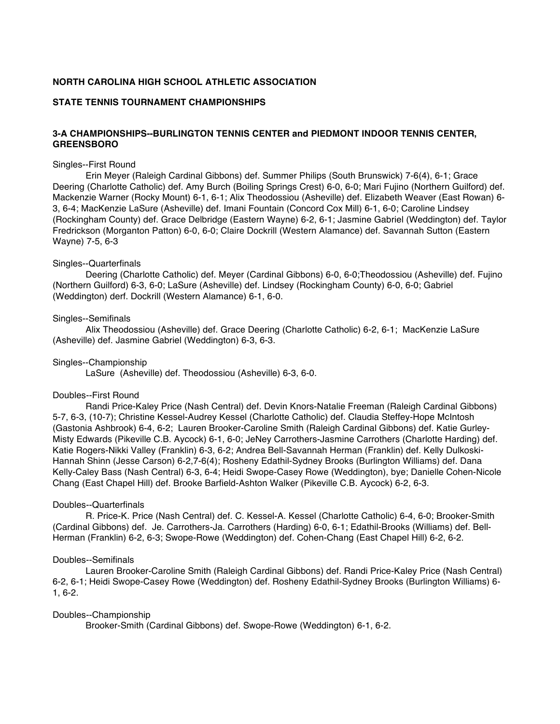# **NORTH CAROLINA HIGH SCHOOL ATHLETIC ASSOCIATION**

### **STATE TENNIS TOURNAMENT CHAMPIONSHIPS**

# **3-A CHAMPIONSHIPS--BURLINGTON TENNIS CENTER and PIEDMONT INDOOR TENNIS CENTER, GREENSBORO**

#### Singles--First Round

Erin Meyer (Raleigh Cardinal Gibbons) def. Summer Philips (South Brunswick) 7-6(4), 6-1; Grace Deering (Charlotte Catholic) def. Amy Burch (Boiling Springs Crest) 6-0, 6-0; Mari Fujino (Northern Guilford) def. Mackenzie Warner (Rocky Mount) 6-1, 6-1; Alix Theodossiou (Asheville) def. Elizabeth Weaver (East Rowan) 6- 3, 6-4; MacKenzie LaSure (Asheville) def. Imani Fountain (Concord Cox Mill) 6-1, 6-0; Caroline Lindsey (Rockingham County) def. Grace Delbridge (Eastern Wayne) 6-2, 6-1; Jasmine Gabriel (Weddington) def. Taylor Fredrickson (Morganton Patton) 6-0, 6-0; Claire Dockrill (Western Alamance) def. Savannah Sutton (Eastern Wayne) 7-5, 6-3

#### Singles--Quarterfinals

Deering (Charlotte Catholic) def. Meyer (Cardinal Gibbons) 6-0, 6-0;Theodossiou (Asheville) def. Fujino (Northern Guilford) 6-3, 6-0; LaSure (Asheville) def. Lindsey (Rockingham County) 6-0, 6-0; Gabriel (Weddington) derf. Dockrill (Western Alamance) 6-1, 6-0.

#### Singles--Semifinals

Alix Theodossiou (Asheville) def. Grace Deering (Charlotte Catholic) 6-2, 6-1; MacKenzie LaSure (Asheville) def. Jasmine Gabriel (Weddington) 6-3, 6-3.

#### Singles--Championship

LaSure (Asheville) def. Theodossiou (Asheville) 6-3, 6-0.

### Doubles--First Round

Randi Price-Kaley Price (Nash Central) def. Devin Knors-Natalie Freeman (Raleigh Cardinal Gibbons) 5-7, 6-3, (10-7); Christine Kessel-Audrey Kessel (Charlotte Catholic) def. Claudia Steffey-Hope McIntosh (Gastonia Ashbrook) 6-4, 6-2; Lauren Brooker-Caroline Smith (Raleigh Cardinal Gibbons) def. Katie Gurley-Misty Edwards (Pikeville C.B. Aycock) 6-1, 6-0; JeNey Carrothers-Jasmine Carrothers (Charlotte Harding) def. Katie Rogers-Nikki Valley (Franklin) 6-3, 6-2; Andrea Bell-Savannah Herman (Franklin) def. Kelly Dulkoski-Hannah Shinn (Jesse Carson) 6-2,7-6(4); Rosheny Edathil-Sydney Brooks (Burlington Williams) def. Dana Kelly-Caley Bass (Nash Central) 6-3, 6-4; Heidi Swope-Casey Rowe (Weddington), bye; Danielle Cohen-Nicole Chang (East Chapel Hill) def. Brooke Barfield-Ashton Walker (Pikeville C.B. Aycock) 6-2, 6-3.

### Doubles--Quarterfinals

R. Price-K. Price (Nash Central) def. C. Kessel-A. Kessel (Charlotte Catholic) 6-4, 6-0; Brooker-Smith (Cardinal Gibbons) def. Je. Carrothers-Ja. Carrothers (Harding) 6-0, 6-1; Edathil-Brooks (Williams) def. Bell-Herman (Franklin) 6-2, 6-3; Swope-Rowe (Weddington) def. Cohen-Chang (East Chapel Hill) 6-2, 6-2.

### Doubles--Semifinals

Lauren Brooker-Caroline Smith (Raleigh Cardinal Gibbons) def. Randi Price-Kaley Price (Nash Central) 6-2, 6-1; Heidi Swope-Casey Rowe (Weddington) def. Rosheny Edathil-Sydney Brooks (Burlington Williams) 6- 1, 6-2.

#### Doubles--Championship

Brooker-Smith (Cardinal Gibbons) def. Swope-Rowe (Weddington) 6-1, 6-2.